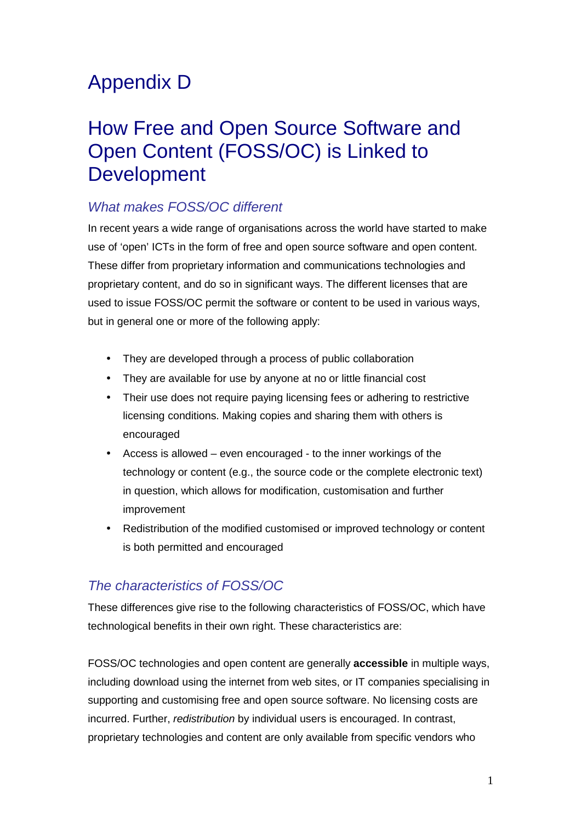# Appendix D

# How Free and Open Source Software and Open Content (FOSS/OC) is Linked to Development

# What makes FOSS/OC different

In recent years a wide range of organisations across the world have started to make use of 'open' ICTs in the form of free and open source software and open content. These differ from proprietary information and communications technologies and proprietary content, and do so in significant ways. The different licenses that are used to issue FOSS/OC permit the software or content to be used in various ways, but in general one or more of the following apply:

- They are developed through a process of public collaboration
- They are available for use by anyone at no or little financial cost
- Their use does not require paying licensing fees or adhering to restrictive licensing conditions. Making copies and sharing them with others is encouraged
- Access is allowed even encouraged to the inner workings of the technology or content (e.g., the source code or the complete electronic text) in question, which allows for modification, customisation and further improvement
- Redistribution of the modified customised or improved technology or content is both permitted and encouraged

# The characteristics of FOSS/OC

These differences give rise to the following characteristics of FOSS/OC, which have technological benefits in their own right. These characteristics are:

FOSS/OC technologies and open content are generally **accessible** in multiple ways, including download using the internet from web sites, or IT companies specialising in supporting and customising free and open source software. No licensing costs are incurred. Further, redistribution by individual users is encouraged. In contrast, proprietary technologies and content are only available from specific vendors who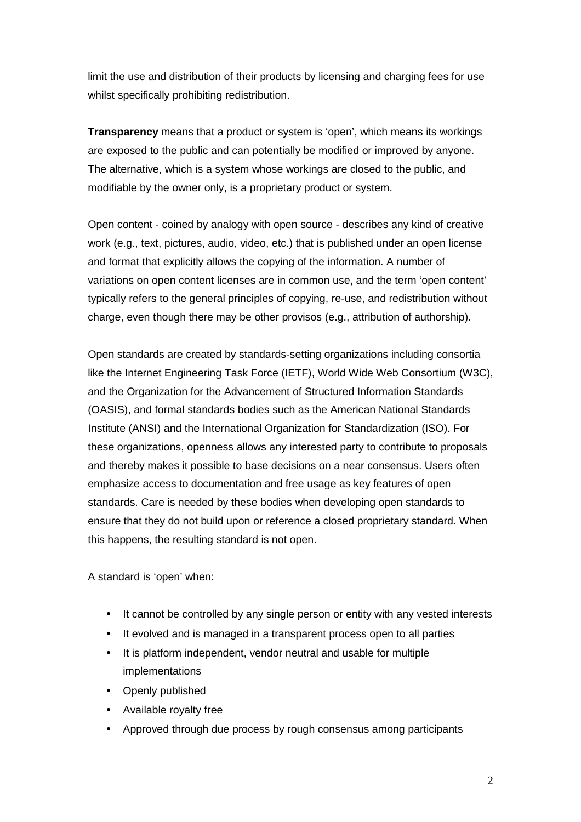limit the use and distribution of their products by licensing and charging fees for use whilst specifically prohibiting redistribution.

**Transparency** means that a product or system is 'open', which means its workings are exposed to the public and can potentially be modified or improved by anyone. The alternative, which is a system whose workings are closed to the public, and modifiable by the owner only, is a proprietary product or system.

Open content - coined by analogy with open source - describes any kind of creative work (e.g., text, pictures, audio, video, etc.) that is published under an open license and format that explicitly allows the copying of the information. A number of variations on open content licenses are in common use, and the term 'open content' typically refers to the general principles of copying, re-use, and redistribution without charge, even though there may be other provisos (e.g., attribution of authorship).

Open standards are created by standards-setting organizations including consortia like the Internet Engineering Task Force (IETF), World Wide Web Consortium (W3C), and the Organization for the Advancement of Structured Information Standards (OASIS), and formal standards bodies such as the American National Standards Institute (ANSI) and the International Organization for Standardization (ISO). For these organizations, openness allows any interested party to contribute to proposals and thereby makes it possible to base decisions on a near consensus. Users often emphasize access to documentation and free usage as key features of open standards. Care is needed by these bodies when developing open standards to ensure that they do not build upon or reference a closed proprietary standard. When this happens, the resulting standard is not open.

A standard is 'open' when:

- It cannot be controlled by any single person or entity with any vested interests
- It evolved and is managed in a transparent process open to all parties
- It is platform independent, vendor neutral and usable for multiple implementations
- Openly published
- Available royalty free
- Approved through due process by rough consensus among participants

2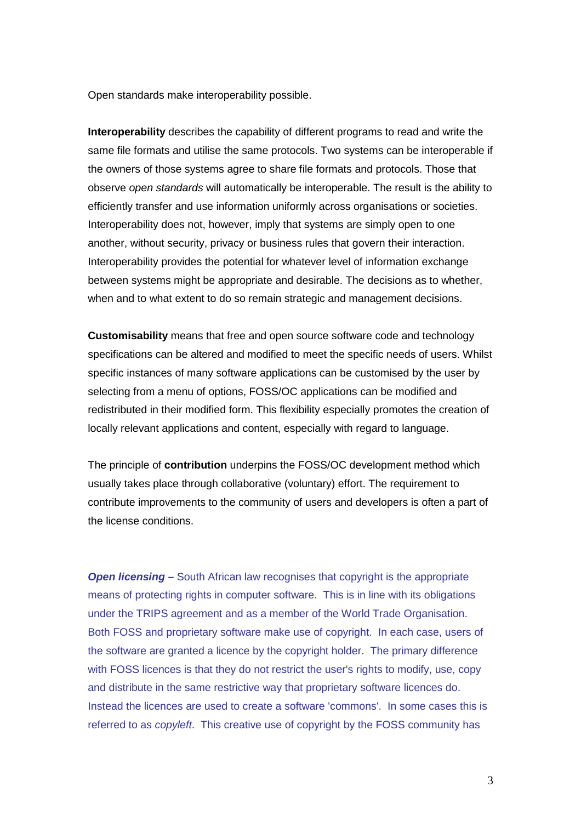Open standards make interoperability possible.

**Interoperability** describes the capability of different programs to read and write the same file formats and utilise the same protocols. Two systems can be interoperable if the owners of those systems agree to share file formats and protocols. Those that observe open standards will automatically be interoperable. The result is the ability to efficiently transfer and use information uniformly across organisations or societies. Interoperability does not, however, imply that systems are simply open to one another, without security, privacy or business rules that govern their interaction. Interoperability provides the potential for whatever level of information exchange between systems might be appropriate and desirable. The decisions as to whether, when and to what extent to do so remain strategic and management decisions.

**Customisability** means that free and open source software code and technology specifications can be altered and modified to meet the specific needs of users. Whilst specific instances of many software applications can be customised by the user by selecting from a menu of options, FOSS/OC applications can be modified and redistributed in their modified form. This flexibility especially promotes the creation of locally relevant applications and content, especially with regard to language.

The principle of **contribution** underpins the FOSS/OC development method which usually takes place through collaborative (voluntary) effort. The requirement to contribute improvements to the community of users and developers is often a part of the license conditions.

**Open licensing –** South African law recognises that copyright is the appropriate means of protecting rights in computer software. This is in line with its obligations under the TRIPS agreement and as a member of the World Trade Organisation. Both FOSS and proprietary software make use of copyright. In each case, users of the software are granted a licence by the copyright holder. The primary difference with FOSS licences is that they do not restrict the user's rights to modify, use, copy and distribute in the same restrictive way that proprietary software licences do. Instead the licences are used to create a software 'commons'. In some cases this is referred to as copyleft. This creative use of copyright by the FOSS community has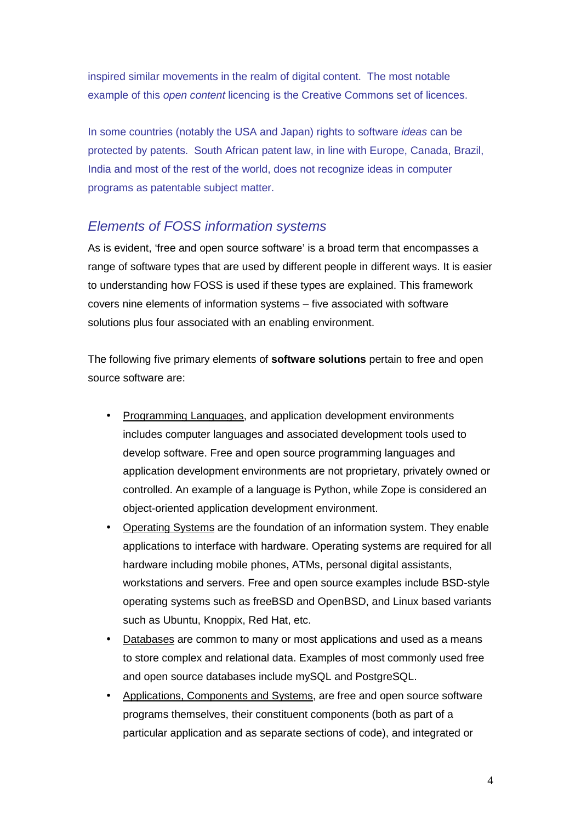inspired similar movements in the realm of digital content. The most notable example of this open content licencing is the Creative Commons set of licences.

In some countries (notably the USA and Japan) rights to software ideas can be protected by patents. South African patent law, in line with Europe, Canada, Brazil, India and most of the rest of the world, does not recognize ideas in computer programs as patentable subject matter.

## Elements of FOSS information systems

As is evident, 'free and open source software' is a broad term that encompasses a range of software types that are used by different people in different ways. It is easier to understanding how FOSS is used if these types are explained. This framework covers nine elements of information systems – five associated with software solutions plus four associated with an enabling environment.

The following five primary elements of **software solutions** pertain to free and open source software are:

- Programming Languages, and application development environments includes computer languages and associated development tools used to develop software. Free and open source programming languages and application development environments are not proprietary, privately owned or controlled. An example of a language is Python, while Zope is considered an object-oriented application development environment.
- Operating Systems are the foundation of an information system. They enable applications to interface with hardware. Operating systems are required for all hardware including mobile phones, ATMs, personal digital assistants, workstations and servers. Free and open source examples include BSD-style operating systems such as freeBSD and OpenBSD, and Linux based variants such as Ubuntu, Knoppix, Red Hat, etc.
- Databases are common to many or most applications and used as a means to store complex and relational data. Examples of most commonly used free and open source databases include mySQL and PostgreSQL.
- Applications, Components and Systems, are free and open source software programs themselves, their constituent components (both as part of a particular application and as separate sections of code), and integrated or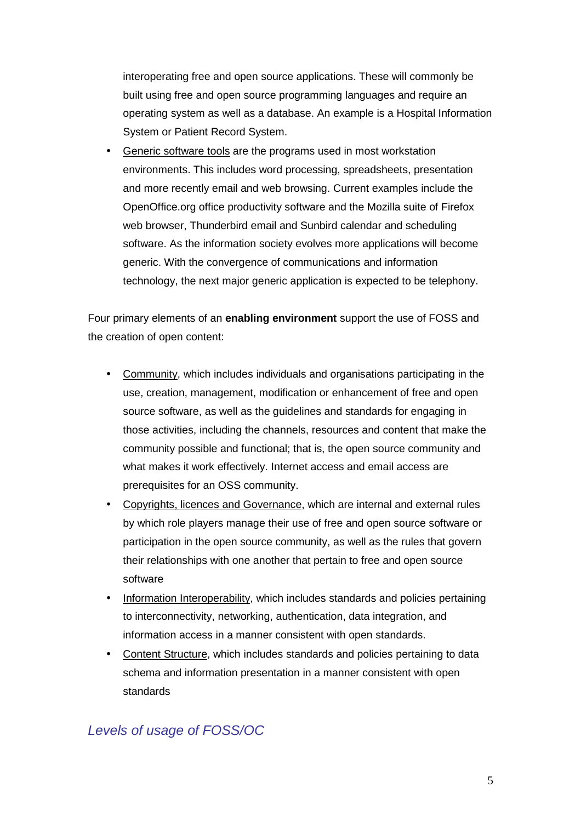interoperating free and open source applications. These will commonly be built using free and open source programming languages and require an operating system as well as a database. An example is a Hospital Information System or Patient Record System.

• Generic software tools are the programs used in most workstation environments. This includes word processing, spreadsheets, presentation and more recently email and web browsing. Current examples include the OpenOffice.org office productivity software and the Mozilla suite of Firefox web browser, Thunderbird email and Sunbird calendar and scheduling software. As the information society evolves more applications will become generic. With the convergence of communications and information technology, the next major generic application is expected to be telephony.

Four primary elements of an **enabling environment** support the use of FOSS and the creation of open content:

- Community, which includes individuals and organisations participating in the use, creation, management, modification or enhancement of free and open source software, as well as the guidelines and standards for engaging in those activities, including the channels, resources and content that make the community possible and functional; that is, the open source community and what makes it work effectively. Internet access and email access are prerequisites for an OSS community.
- Copyrights, licences and Governance, which are internal and external rules by which role players manage their use of free and open source software or participation in the open source community, as well as the rules that govern their relationships with one another that pertain to free and open source software
- Information Interoperability, which includes standards and policies pertaining to interconnectivity, networking, authentication, data integration, and information access in a manner consistent with open standards.
- Content Structure, which includes standards and policies pertaining to data schema and information presentation in a manner consistent with open standards

# Levels of usage of FOSS/OC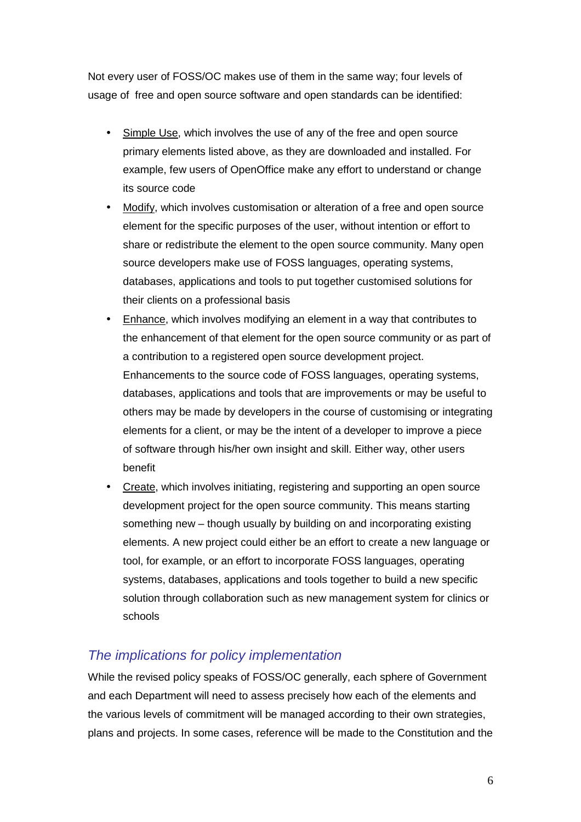Not every user of FOSS/OC makes use of them in the same way; four levels of usage of free and open source software and open standards can be identified:

- Simple Use, which involves the use of any of the free and open source primary elements listed above, as they are downloaded and installed. For example, few users of OpenOffice make any effort to understand or change its source code
- Modify, which involves customisation or alteration of a free and open source element for the specific purposes of the user, without intention or effort to share or redistribute the element to the open source community. Many open source developers make use of FOSS languages, operating systems, databases, applications and tools to put together customised solutions for their clients on a professional basis
- Enhance, which involves modifying an element in a way that contributes to the enhancement of that element for the open source community or as part of a contribution to a registered open source development project. Enhancements to the source code of FOSS languages, operating systems, databases, applications and tools that are improvements or may be useful to others may be made by developers in the course of customising or integrating elements for a client, or may be the intent of a developer to improve a piece of software through his/her own insight and skill. Either way, other users benefit
- Create, which involves initiating, registering and supporting an open source development project for the open source community. This means starting something new – though usually by building on and incorporating existing elements. A new project could either be an effort to create a new language or tool, for example, or an effort to incorporate FOSS languages, operating systems, databases, applications and tools together to build a new specific solution through collaboration such as new management system for clinics or schools

## The implications for policy implementation

While the revised policy speaks of FOSS/OC generally, each sphere of Government and each Department will need to assess precisely how each of the elements and the various levels of commitment will be managed according to their own strategies, plans and projects. In some cases, reference will be made to the Constitution and the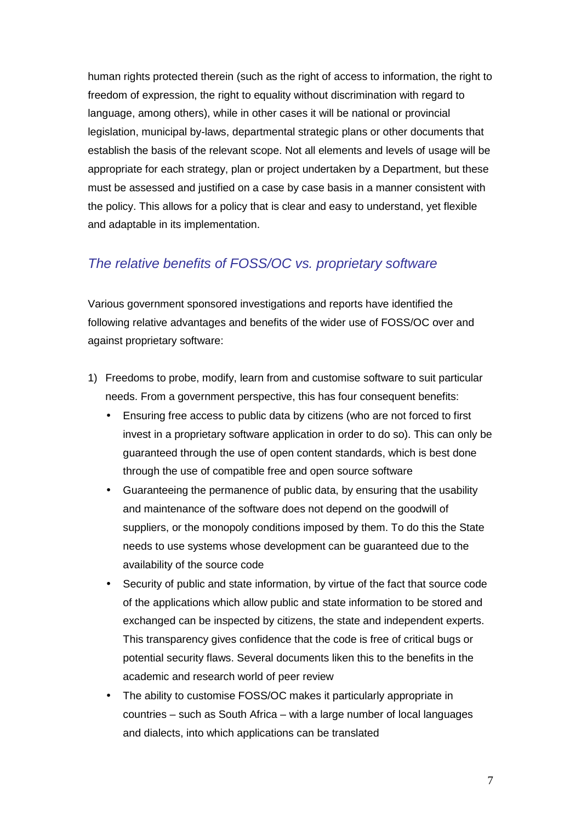human rights protected therein (such as the right of access to information, the right to freedom of expression, the right to equality without discrimination with regard to language, among others), while in other cases it will be national or provincial legislation, municipal by-laws, departmental strategic plans or other documents that establish the basis of the relevant scope. Not all elements and levels of usage will be appropriate for each strategy, plan or project undertaken by a Department, but these must be assessed and justified on a case by case basis in a manner consistent with the policy. This allows for a policy that is clear and easy to understand, yet flexible and adaptable in its implementation.

## The relative benefits of FOSS/OC vs. proprietary software

Various government sponsored investigations and reports have identified the following relative advantages and benefits of the wider use of FOSS/OC over and against proprietary software:

- 1) Freedoms to probe, modify, learn from and customise software to suit particular needs. From a government perspective, this has four consequent benefits:
	- Ensuring free access to public data by citizens (who are not forced to first invest in a proprietary software application in order to do so). This can only be guaranteed through the use of open content standards, which is best done through the use of compatible free and open source software
	- Guaranteeing the permanence of public data, by ensuring that the usability and maintenance of the software does not depend on the goodwill of suppliers, or the monopoly conditions imposed by them. To do this the State needs to use systems whose development can be guaranteed due to the availability of the source code
	- Security of public and state information, by virtue of the fact that source code of the applications which allow public and state information to be stored and exchanged can be inspected by citizens, the state and independent experts. This transparency gives confidence that the code is free of critical bugs or potential security flaws. Several documents liken this to the benefits in the academic and research world of peer review
	- The ability to customise FOSS/OC makes it particularly appropriate in countries – such as South Africa – with a large number of local languages and dialects, into which applications can be translated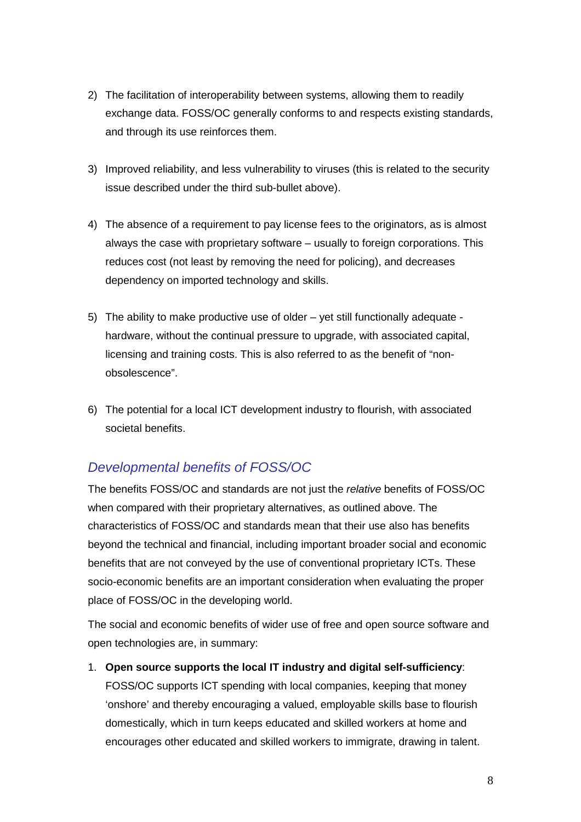- 2) The facilitation of interoperability between systems, allowing them to readily exchange data. FOSS/OC generally conforms to and respects existing standards, and through its use reinforces them.
- 3) Improved reliability, and less vulnerability to viruses (this is related to the security issue described under the third sub-bullet above).
- 4) The absence of a requirement to pay license fees to the originators, as is almost always the case with proprietary software – usually to foreign corporations. This reduces cost (not least by removing the need for policing), and decreases dependency on imported technology and skills.
- 5) The ability to make productive use of older yet still functionally adequate hardware, without the continual pressure to upgrade, with associated capital, licensing and training costs. This is also referred to as the benefit of "nonobsolescence".
- 6) The potential for a local ICT development industry to flourish, with associated societal benefits.

# Developmental benefits of FOSS/OC

The benefits FOSS/OC and standards are not just the relative benefits of FOSS/OC when compared with their proprietary alternatives, as outlined above. The characteristics of FOSS/OC and standards mean that their use also has benefits beyond the technical and financial, including important broader social and economic benefits that are not conveyed by the use of conventional proprietary ICTs. These socio-economic benefits are an important consideration when evaluating the proper place of FOSS/OC in the developing world.

The social and economic benefits of wider use of free and open source software and open technologies are, in summary:

1. **Open source supports the local IT industry and digital self-sufficiency**: FOSS/OC supports ICT spending with local companies, keeping that money 'onshore' and thereby encouraging a valued, employable skills base to flourish domestically, which in turn keeps educated and skilled workers at home and encourages other educated and skilled workers to immigrate, drawing in talent.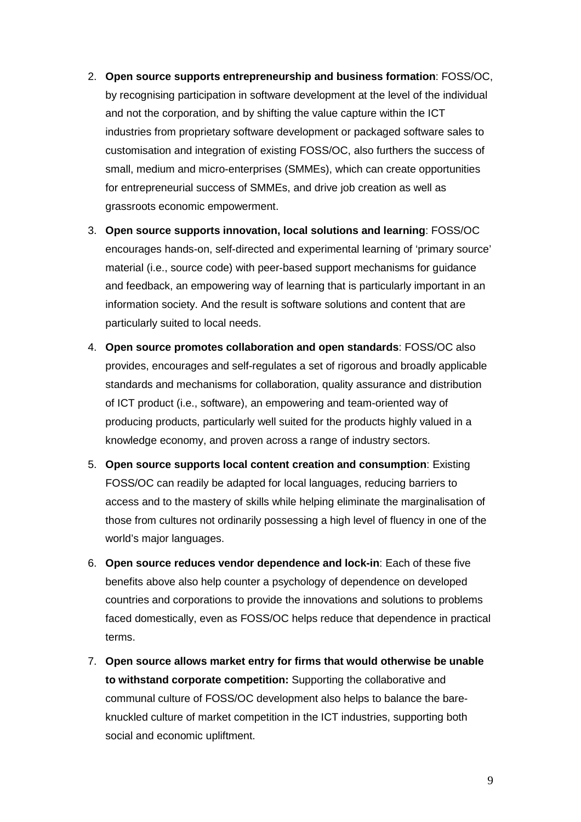- 2. **Open source supports entrepreneurship and business formation**: FOSS/OC, by recognising participation in software development at the level of the individual and not the corporation, and by shifting the value capture within the ICT industries from proprietary software development or packaged software sales to customisation and integration of existing FOSS/OC, also furthers the success of small, medium and micro-enterprises (SMMEs), which can create opportunities for entrepreneurial success of SMMEs, and drive job creation as well as grassroots economic empowerment.
- 3. **Open source supports innovation, local solutions and learning**: FOSS/OC encourages hands-on, self-directed and experimental learning of 'primary source' material (i.e., source code) with peer-based support mechanisms for guidance and feedback, an empowering way of learning that is particularly important in an information society. And the result is software solutions and content that are particularly suited to local needs.
- 4. **Open source promotes collaboration and open standards**: FOSS/OC also provides, encourages and self-regulates a set of rigorous and broadly applicable standards and mechanisms for collaboration, quality assurance and distribution of ICT product (i.e., software), an empowering and team-oriented way of producing products, particularly well suited for the products highly valued in a knowledge economy, and proven across a range of industry sectors.
- 5. **Open source supports local content creation and consumption**: Existing FOSS/OC can readily be adapted for local languages, reducing barriers to access and to the mastery of skills while helping eliminate the marginalisation of those from cultures not ordinarily possessing a high level of fluency in one of the world's major languages.
- 6. **Open source reduces vendor dependence and lock-in**: Each of these five benefits above also help counter a psychology of dependence on developed countries and corporations to provide the innovations and solutions to problems faced domestically, even as FOSS/OC helps reduce that dependence in practical terms.
- 7. **Open source allows market entry for firms that would otherwise be unable to withstand corporate competition:** Supporting the collaborative and communal culture of FOSS/OC development also helps to balance the bareknuckled culture of market competition in the ICT industries, supporting both social and economic upliftment.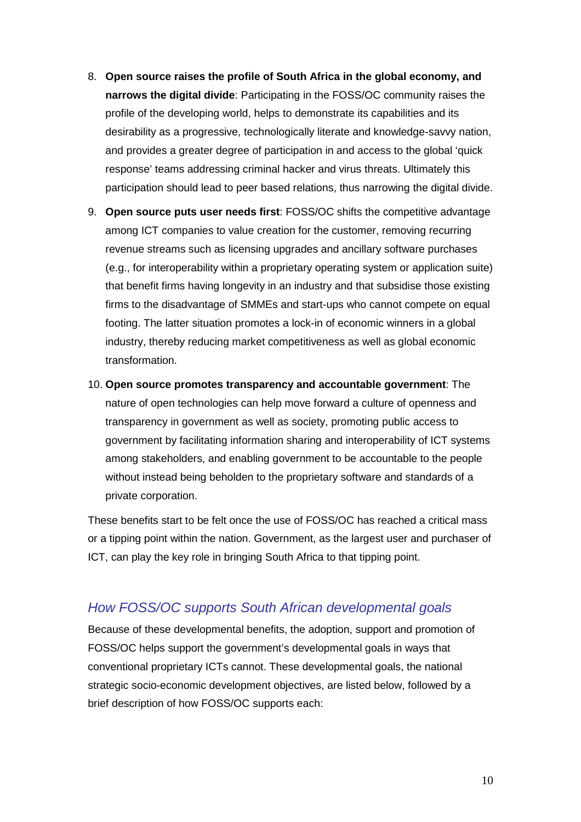- 8. **Open source raises the profile of South Africa in the global economy, and narrows the digital divide**: Participating in the FOSS/OC community raises the profile of the developing world, helps to demonstrate its capabilities and its desirability as a progressive, technologically literate and knowledge-savvy nation, and provides a greater degree of participation in and access to the global 'quick response' teams addressing criminal hacker and virus threats. Ultimately this participation should lead to peer based relations, thus narrowing the digital divide.
- 9. **Open source puts user needs first**: FOSS/OC shifts the competitive advantage among ICT companies to value creation for the customer, removing recurring revenue streams such as licensing upgrades and ancillary software purchases (e.g., for interoperability within a proprietary operating system or application suite) that benefit firms having longevity in an industry and that subsidise those existing firms to the disadvantage of SMMEs and start-ups who cannot compete on equal footing. The latter situation promotes a lock-in of economic winners in a global industry, thereby reducing market competitiveness as well as global economic transformation.
- 10. **Open source promotes transparency and accountable government**: The nature of open technologies can help move forward a culture of openness and transparency in government as well as society, promoting public access to government by facilitating information sharing and interoperability of ICT systems among stakeholders, and enabling government to be accountable to the people without instead being beholden to the proprietary software and standards of a private corporation.

These benefits start to be felt once the use of FOSS/OC has reached a critical mass or a tipping point within the nation. Government, as the largest user and purchaser of ICT, can play the key role in bringing South Africa to that tipping point.

## How FOSS/OC supports South African developmental goals

Because of these developmental benefits, the adoption, support and promotion of FOSS/OC helps support the government's developmental goals in ways that conventional proprietary ICTs cannot. These developmental goals, the national strategic socio-economic development objectives, are listed below, followed by a brief description of how FOSS/OC supports each: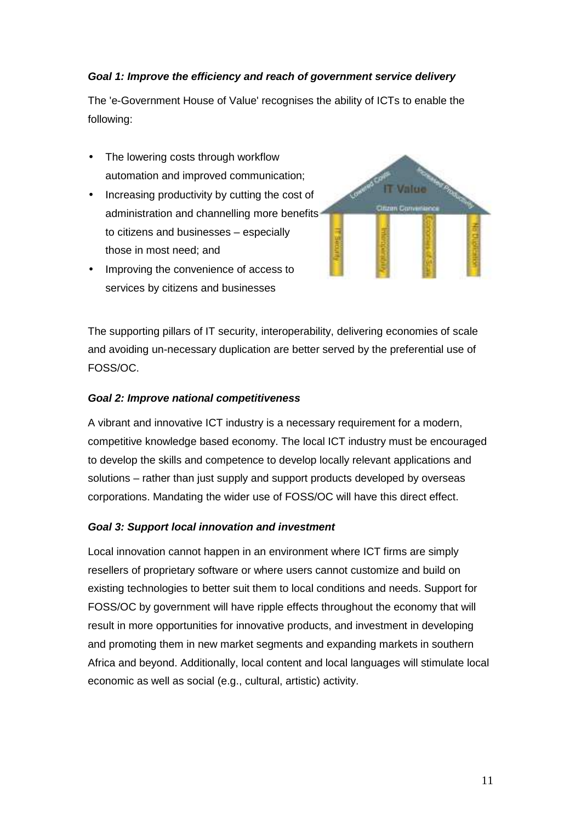### **Goal 1: Improve the efficiency and reach of government service delivery**

The 'e-Government House of Value' recognises the ability of ICTs to enable the following:

- The lowering costs through workflow automation and improved communication;
- Increasing productivity by cutting the cost of administration and channelling more benefits to citizens and businesses – especially those in most need; and
- Improving the convenience of access to services by citizens and businesses



The supporting pillars of IT security, interoperability, delivering economies of scale and avoiding un-necessary duplication are better served by the preferential use of FOSS/OC.

#### **Goal 2: Improve national competitiveness**

A vibrant and innovative ICT industry is a necessary requirement for a modern, competitive knowledge based economy. The local ICT industry must be encouraged to develop the skills and competence to develop locally relevant applications and solutions – rather than just supply and support products developed by overseas corporations. Mandating the wider use of FOSS/OC will have this direct effect.

#### **Goal 3: Support local innovation and investment**

Local innovation cannot happen in an environment where ICT firms are simply resellers of proprietary software or where users cannot customize and build on existing technologies to better suit them to local conditions and needs. Support for FOSS/OC by government will have ripple effects throughout the economy that will result in more opportunities for innovative products, and investment in developing and promoting them in new market segments and expanding markets in southern Africa and beyond. Additionally, local content and local languages will stimulate local economic as well as social (e.g., cultural, artistic) activity.